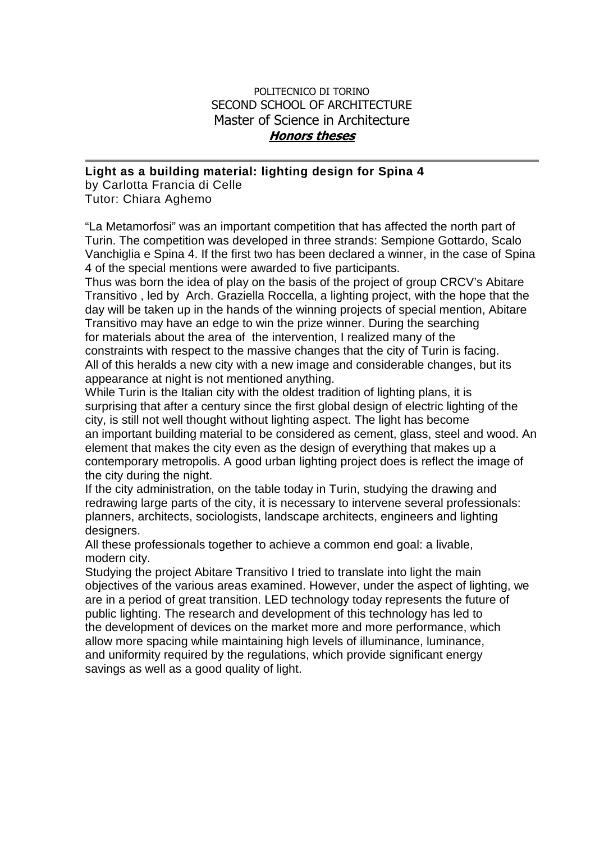## POLITECNICO DI TORINO SECOND SCHOOL OF ARCHITECTURE Master of Science in Architecture **Honors theses**

## **Light as a building material: lighting design for Spina 4**

by Carlotta Francia di Celle Tutor: Chiara Aghemo

"La Metamorfosi" was an important competition that has affected the north part of Turin. The competition was developed in three strands: Sempione Gottardo, Scalo Vanchiglia e Spina 4. If the first two has been declared a winner, in the case of Spina 4 of the special mentions were awarded to five participants.

Thus was born the idea of play on the basis of the project of group CRCV's Abitare Transitivo , led by Arch. Graziella Roccella, a lighting project, with the hope that the day will be taken up in the hands of the winning projects of special mention, Abitare Transitivo may have an edge to win the prize winner. During the searching for materials about the area of the intervention, I realized many of the constraints with respect to the massive changes that the city of Turin is facing. All of this heralds a new city with a new image and considerable changes, but its appearance at night is not mentioned anything.

While Turin is the Italian city with the oldest tradition of lighting plans, it is surprising that after a century since the first global design of electric lighting of the city, is still not well thought without lighting aspect. The light has become an important building material to be considered as cement, glass, steel and wood. An element that makes the city even as the design of everything that makes up a contemporary metropolis. A good urban lighting project does is reflect the image of the city during the night.

If the city administration, on the table today in Turin, studying the drawing and redrawing large parts of the city, it is necessary to intervene several professionals: planners, architects, sociologists, landscape architects, engineers and lighting designers.

All these professionals together to achieve a common end goal: a livable, modern city.

Studying the project Abitare Transitivo I tried to translate into light the main objectives of the various areas examined. However, under the aspect of lighting, we are in a period of great transition. LED technology today represents the future of public lighting. The research and development of this technology has led to the development of devices on the market more and more performance, which allow more spacing while maintaining high levels of illuminance, luminance, and uniformity required by the regulations, which provide significant energy savings as well as a good quality of light.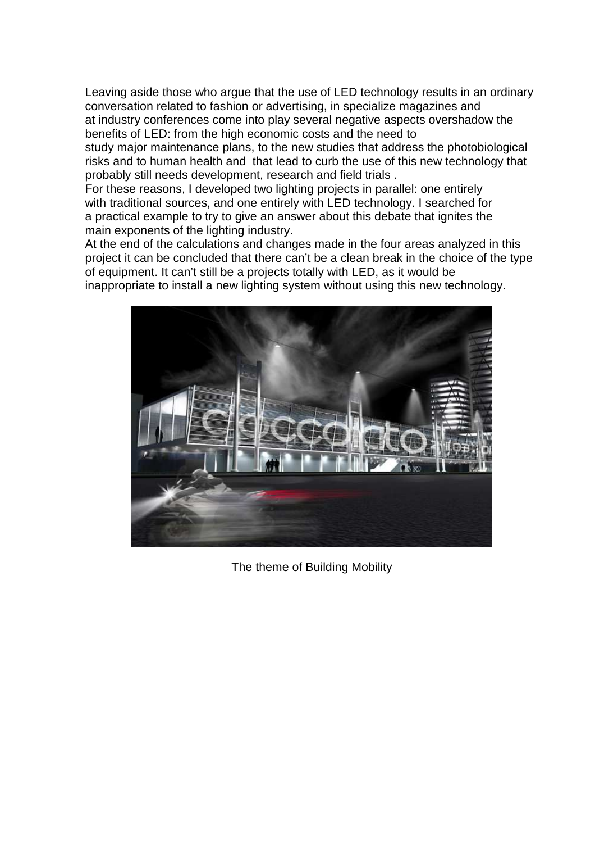Leaving aside those who argue that the use of LED technology results in an ordinary conversation related to fashion or advertising, in specialize magazines and at industry conferences come into play several negative aspects overshadow the benefits of LED: from the high economic costs and the need to

study major maintenance plans, to the new studies that address the photobiological risks and to human health and that lead to curb the use of this new technology that probably still needs development, research and field trials .

For these reasons, I developed two lighting projects in parallel: one entirely with traditional sources, and one entirely with LED technology. I searched for a practical example to try to give an answer about this debate that ignites the main exponents of the lighting industry.

At the end of the calculations and changes made in the four areas analyzed in this project it can be concluded that there can't be a clean break in the choice of the type of equipment. It can't still be a projects totally with LED, as it would be inappropriate to install a new lighting system without using this new technology.



The theme of Building Mobility